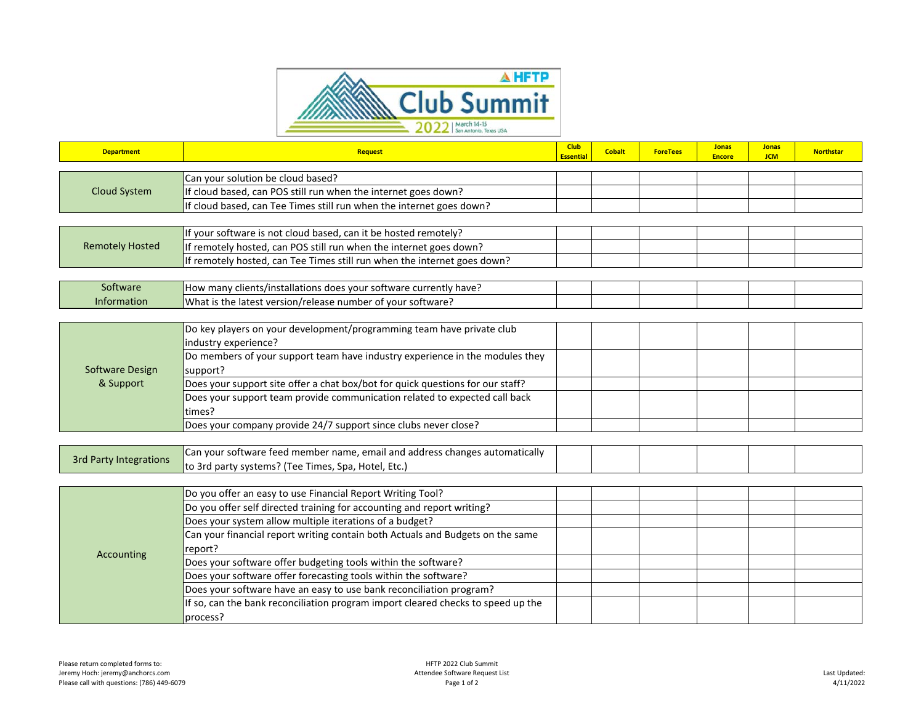

| <b>Department</b>             | <b>Request</b>                                                                   | <b>Club</b><br><b>Essential</b> | <b>Cobalt</b> | <b>ForeTees</b> | <b>Jonas</b><br><b>Encore</b> | <b>Jonas</b><br><b>JCM</b> | <b>Northstar</b> |
|-------------------------------|----------------------------------------------------------------------------------|---------------------------------|---------------|-----------------|-------------------------------|----------------------------|------------------|
|                               |                                                                                  |                                 |               |                 |                               |                            |                  |
| <b>Cloud System</b>           | Can your solution be cloud based?                                                |                                 |               |                 |                               |                            |                  |
|                               | If cloud based, can POS still run when the internet goes down?                   |                                 |               |                 |                               |                            |                  |
|                               | If cloud based, can Tee Times still run when the internet goes down?             |                                 |               |                 |                               |                            |                  |
|                               |                                                                                  |                                 |               |                 |                               |                            |                  |
| <b>Remotely Hosted</b>        | If your software is not cloud based, can it be hosted remotely?                  |                                 |               |                 |                               |                            |                  |
|                               | If remotely hosted, can POS still run when the internet goes down?               |                                 |               |                 |                               |                            |                  |
|                               | If remotely hosted, can Tee Times still run when the internet goes down?         |                                 |               |                 |                               |                            |                  |
|                               |                                                                                  |                                 |               |                 |                               |                            |                  |
| Software                      | How many clients/installations does your software currently have?                |                                 |               |                 |                               |                            |                  |
| Information                   | What is the latest version/release number of your software?                      |                                 |               |                 |                               |                            |                  |
|                               |                                                                                  |                                 |               |                 |                               |                            |                  |
| Software Design<br>& Support  | Do key players on your development/programming team have private club            |                                 |               |                 |                               |                            |                  |
|                               | industry experience?                                                             |                                 |               |                 |                               |                            |                  |
|                               | Do members of your support team have industry experience in the modules they     |                                 |               |                 |                               |                            |                  |
|                               | support?                                                                         |                                 |               |                 |                               |                            |                  |
|                               | Does your support site offer a chat box/bot for quick questions for our staff?   |                                 |               |                 |                               |                            |                  |
|                               | Does your support team provide communication related to expected call back       |                                 |               |                 |                               |                            |                  |
|                               | times?                                                                           |                                 |               |                 |                               |                            |                  |
|                               | Does your company provide 24/7 support since clubs never close?                  |                                 |               |                 |                               |                            |                  |
|                               |                                                                                  |                                 |               |                 |                               |                            |                  |
| <b>3rd Party Integrations</b> | Can your software feed member name, email and address changes automatically      |                                 |               |                 |                               |                            |                  |
|                               | to 3rd party systems? (Tee Times, Spa, Hotel, Etc.)                              |                                 |               |                 |                               |                            |                  |
|                               |                                                                                  |                                 |               |                 |                               |                            |                  |
| Accounting                    | Do you offer an easy to use Financial Report Writing Tool?                       |                                 |               |                 |                               |                            |                  |
|                               | Do you offer self directed training for accounting and report writing?           |                                 |               |                 |                               |                            |                  |
|                               | Does your system allow multiple iterations of a budget?                          |                                 |               |                 |                               |                            |                  |
|                               | Can your financial report writing contain both Actuals and Budgets on the same   |                                 |               |                 |                               |                            |                  |
|                               | report?                                                                          |                                 |               |                 |                               |                            |                  |
|                               | Does your software offer budgeting tools within the software?                    |                                 |               |                 |                               |                            |                  |
|                               | Does your software offer forecasting tools within the software?                  |                                 |               |                 |                               |                            |                  |
|                               | Does your software have an easy to use bank reconciliation program?              |                                 |               |                 |                               |                            |                  |
|                               | If so, can the bank reconciliation program import cleared checks to speed up the |                                 |               |                 |                               |                            |                  |
|                               | process?                                                                         |                                 |               |                 |                               |                            |                  |